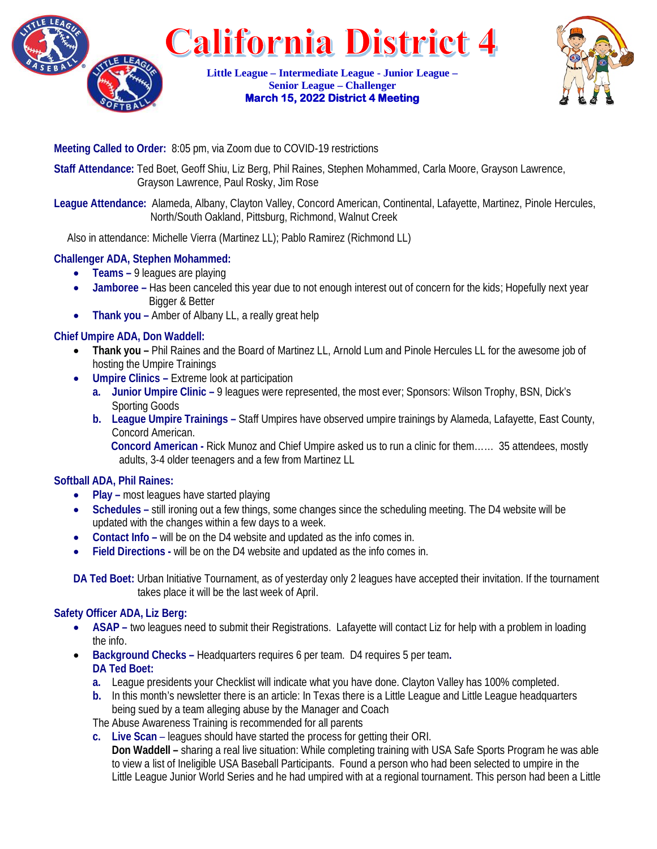

**Little League – Intermediate League - Junior League – Senior League – Challenger March 15, 2022 District 4 Meeting** 



#### **Meeting Called to Order:** 8:05 pm, via Zoom due to COVID-19 restrictions

**Staff Attendance:** Ted Boet, Geoff Shiu, Liz Berg, Phil Raines, Stephen Mohammed, Carla Moore, Grayson Lawrence, Grayson Lawrence, Paul Rosky, Jim Rose

**League Attendance:** Alameda, Albany, Clayton Valley, Concord American, Continental, Lafayette, Martinez, Pinole Hercules, North/South Oakland, Pittsburg, Richmond, Walnut Creek

Also in attendance: Michelle Vierra (Martinez LL); Pablo Ramirez (Richmond LL)

# **Challenger ADA, Stephen Mohammed:**

- **Teams –** 9 leagues are playing
- **Jamboree –** Has been canceled this year due to not enough interest out of concern for the kids; Hopefully next year Bigger & Better
- **Thank you –** Amber of Albany LL, a really great help

#### **Chief Umpire ADA, Don Waddell:**

- **Thank you –** Phil Raines and the Board of Martinez LL, Arnold Lum and Pinole Hercules LL for the awesome job of hosting the Umpire Trainings
- **Umpire Clinics –** Extreme look at participation
	- **a. Junior Umpire Clinic –** 9 leagues were represented, the most ever; Sponsors: Wilson Trophy, BSN, Dick's Sporting Goods
	- **b. League Umpire Trainings –** Staff Umpires have observed umpire trainings by Alameda, Lafayette, East County, Concord American.

 **Concord American -** Rick Munoz and Chief Umpire asked us to run a clinic for them…… 35 attendees, mostly adults, 3-4 older teenagers and a few from Martinez LL

# **Softball ADA, Phil Raines:**

- **Play –** most leagues have started playing
- **Schedules –** still ironing out a few things, some changes since the scheduling meeting. The D4 website will be updated with the changes within a few days to a week.
- **Contact Info –** will be on the D4 website and updated as the info comes in.
- **Field Directions -** will be on the D4 website and updated as the info comes in.

**DA Ted Boet:** Urban Initiative Tournament, as of yesterday only 2 leagues have accepted their invitation. If the tournament takes place it will be the last week of April.

#### **Safety Officer ADA, Liz Berg:**

- **ASAP** two leagues need to submit their Registrations. Lafayette will contact Liz for help with a problem in loading the info.
- **Background Checks –** Headquarters requires 6 per team. D4 requires 5 per team**. DA Ted Boet:** 
	- **a.** League presidents your Checklist will indicate what you have done. Clayton Valley has 100% completed.
	- **b.** In this month's newsletter there is an article: In Texas there is a Little League and Little League headquarters being sued by a team alleging abuse by the Manager and Coach

The Abuse Awareness Training is recommended for all parents

**c. Live Scan** – leagues should have started the process for getting their ORI.

**Don Waddell –** sharing a real live situation: While completing training with USA Safe Sports Program he was able to view a list of Ineligible USA Baseball Participants. Found a person who had been selected to umpire in the Little League Junior World Series and he had umpired with at a regional tournament. This person had been a Little